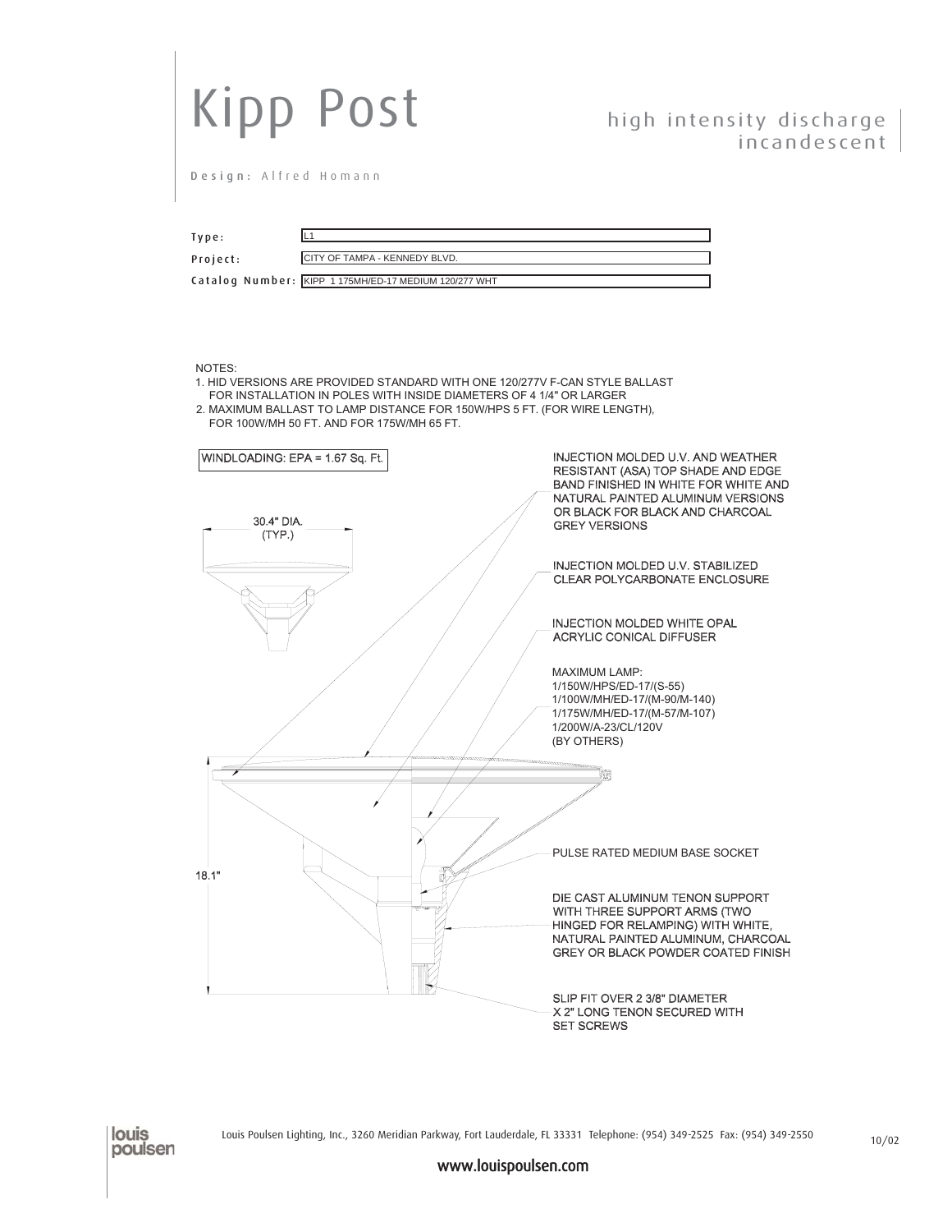| <b>Kipp Post</b>                                                                                                                                                                                                                                                                       |                                                                                                                                                                                                                 |
|----------------------------------------------------------------------------------------------------------------------------------------------------------------------------------------------------------------------------------------------------------------------------------------|-----------------------------------------------------------------------------------------------------------------------------------------------------------------------------------------------------------------|
|                                                                                                                                                                                                                                                                                        | high intensity discharge<br>incandescent                                                                                                                                                                        |
| Design: Alfred Homann                                                                                                                                                                                                                                                                  |                                                                                                                                                                                                                 |
| L <sub>1</sub><br>Type:<br>CITY OF TAMPA - KENNEDY BLVD.<br>Project:<br>Catalog Number: KIPP 1175MH/ED-17 MEDIUM 120/277 WHT                                                                                                                                                           |                                                                                                                                                                                                                 |
| NOTES:<br>1. HID VERSIONS ARE PROVIDED STANDARD WITH ONE 120/277V F-CAN STYLE BALLAST<br>FOR INSTALLATION IN POLES WITH INSIDE DIAMETERS OF 4 1/4" OR LARGER<br>2. MAXIMUM BALLAST TO LAMP DISTANCE FOR 150W/HPS 5 FT. (FOR WIRE LENGTH),<br>FOR 100W/MH 50 FT. AND FOR 175W/MH 65 FT. |                                                                                                                                                                                                                 |
| WINDLOADING: EPA = 1.67 Sq. Ft.<br>30.4" DIA.                                                                                                                                                                                                                                          | INJECTION MOLDED U.V. AND WEATHER<br>RESISTANT (ASA) TOP SHADE AND EDGE<br>BAND FINISHED IN WHITE FOR WHITE AND<br>NATURAL PAINTED ALUMINUM VERSIONS<br>OR BLACK FOR BLACK AND CHARCOAL<br><b>GREY VERSIONS</b> |
| (TYP.)                                                                                                                                                                                                                                                                                 | INJECTION MOLDED U.V. STABILIZED<br>CLEAR POLYCARBONATE ENCLOSURE                                                                                                                                               |
|                                                                                                                                                                                                                                                                                        | INJECTION MOLDED WHITE OPAL<br>ACRYLIC CONICAL DIFFUSER                                                                                                                                                         |
|                                                                                                                                                                                                                                                                                        | <b>MAXIMUM LAMP:</b><br>1/150W/HPS/ED-17/(S-55)<br>1/100W/MH/ED-17/(M-90/M-140)<br>1/175W/MH/ED-17/(M-57/M-107)<br>1/200W/A-23/CL/120V<br>(BY OTHERS)                                                           |
|                                                                                                                                                                                                                                                                                        |                                                                                                                                                                                                                 |
| 18.1"                                                                                                                                                                                                                                                                                  | PULSE RATED MEDIUM BASE SOCKET                                                                                                                                                                                  |
|                                                                                                                                                                                                                                                                                        | DIE CAST ALUMINUM TENON SUPPORT<br>WITH THREE SUPPORT ARMS (TWO<br>HINGED FOR RELAMPING) WITH WHITE,<br>NATURAL PAINTED ALUMINUM, CHARCOAL<br>GREY OR BLACK POWDER COATED FINISH                                |
|                                                                                                                                                                                                                                                                                        | SLIP FIT OVER 2 3/8" DIAMETER<br>X 2" LONG TENON SECURED WITH<br><b>SET SCREWS</b>                                                                                                                              |